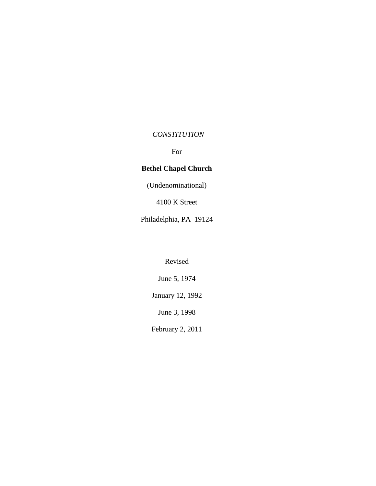## *CONSTITUTION*

For

# **Bethel Chapel Church**

(Undenominational)

4100 K Street

Philadelphia, PA 19124

Revised

June 5, 1974

January 12, 1992

June 3, 1998

February 2, 2011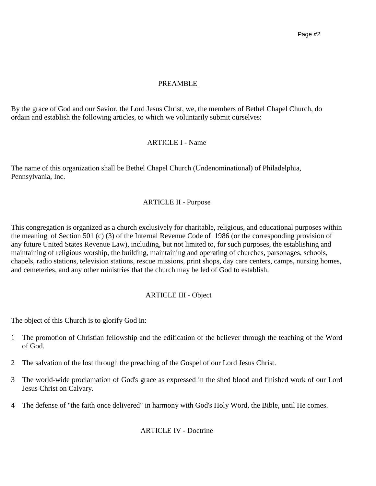## PREAMBLE

By the grace of God and our Savior, the Lord Jesus Christ, we, the members of Bethel Chapel Church, do ordain and establish the following articles, to which we voluntarily submit ourselves:

## ARTICLE I - Name

The name of this organization shall be Bethel Chapel Church (Undenominational) of Philadelphia, Pennsylvania, Inc.

## ARTICLE II - Purpose

This congregation is organized as a church exclusively for charitable, religious, and educational purposes within the meaning of Section 501 (c) (3) of the Internal Revenue Code of 1986 (or the corresponding provision of any future United States Revenue Law), including, but not limited to, for such purposes, the establishing and maintaining of religious worship, the building, maintaining and operating of churches, parsonages, schools, chapels, radio stations, television stations, rescue missions, print shops, day care centers, camps, nursing homes, and cemeteries, and any other ministries that the church may be led of God to establish.

## ARTICLE III - Object

The object of this Church is to glorify God in:

- 1 The promotion of Christian fellowship and the edification of the believer through the teaching of the Word of God.
- 2 The salvation of the lost through the preaching of the Gospel of our Lord Jesus Christ.
- 3 The world-wide proclamation of God's grace as expressed in the shed blood and finished work of our Lord Jesus Christ on Calvary.
- 4 The defense of "the faith once delivered" in harmony with God's Holy Word, the Bible, until He comes.

ARTICLE IV - Doctrine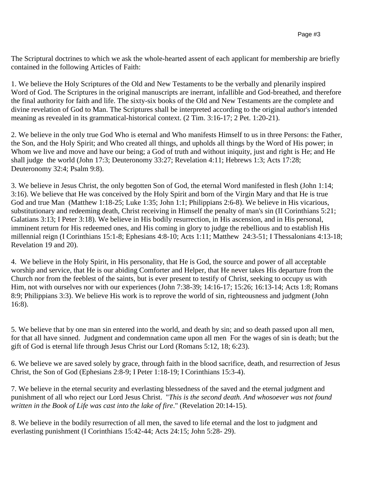The Scriptural doctrines to which we ask the whole-hearted assent of each applicant for membership are briefly contained in the following Articles of Faith:

1. We believe the Holy Scriptures of the Old and New Testaments to be the verbally and plenarily inspired Word of God. The Scriptures in the original manuscripts are inerrant, infallible and God-breathed, and therefore the final authority for faith and life. The sixty-six books of the Old and New Testaments are the complete and divine revelation of God to Man. The Scriptures shall be interpreted according to the original author's intended meaning as revealed in its grammatical-historical context. (2 Tim. 3:16-17; 2 Pet. 1:20-21).

2. We believe in the only true God Who is eternal and Who manifests Himself to us in three Persons: the Father, the Son, and the Holy Spirit; and Who created all things, and upholds all things by the Word of His power; in Whom we live and move and have our being; a God of truth and without iniquity, just and right is He; and He shall judge the world (John 17:3; Deuteronomy 33:27; Revelation 4:11; Hebrews 1:3; Acts 17:28; Deuteronomy 32:4; Psalm 9:8).

3. We believe in Jesus Christ, the only begotten Son of God, the eternal Word manifested in flesh (John 1:14; 3:16). We believe that He was conceived by the Holy Spirit and born of the Virgin Mary and that He is true God and true Man (Matthew 1:18-25; Luke 1:35; John 1:1; Philippians 2:6-8). We believe in His vicarious, substitutionary and redeeming death, Christ receiving in Himself the penalty of man's sin (II Corinthians 5:21; Galatians 3:13; I Peter 3:18). We believe in His bodily resurrection, in His ascension, and in His personal, imminent return for His redeemed ones, and His coming in glory to judge the rebellious and to establish His millennial reign (I Corinthians 15:1-8; Ephesians 4:8-10; Acts 1:11; Matthew 24:3-51; I Thessalonians 4:13-18; Revelation 19 and 20).

4. We believe in the Holy Spirit, in His personality, that He is God, the source and power of all acceptable worship and service, that He is our abiding Comforter and Helper, that He never takes His departure from the Church nor from the feeblest of the saints, but is ever present to testify of Christ, seeking to occupy us with Him, not with ourselves nor with our experiences (John 7:38-39; 14:16-17; 15:26; 16:13-14; Acts 1:8; Romans 8:9; Philippians 3:3). We believe His work is to reprove the world of sin, righteousness and judgment (John 16:8).

5. We believe that by one man sin entered into the world, and death by sin; and so death passed upon all men, for that all have sinned. Judgment and condemnation came upon all men For the wages of sin is death; but the gift of God is eternal life through Jesus Christ our Lord (Romans 5:12, 18; 6:23).

6. We believe we are saved solely by grace, through faith in the blood sacrifice, death, and resurrection of Jesus Christ, the Son of God (Ephesians 2:8-9; I Peter 1:18-19; I Corinthians 15:3-4).

7. We believe in the eternal security and everlasting blessedness of the saved and the eternal judgment and punishment of all who reject our Lord Jesus Christ. "*This is the second death. And whosoever was not found written in the Book of Life was cast into the lake of fire*." (Revelation 20:14-15).

8. We believe in the bodily resurrection of all men, the saved to life eternal and the lost to judgment and everlasting punishment (I Corinthians 15:42-44; Acts 24:15; John 5:28- 29).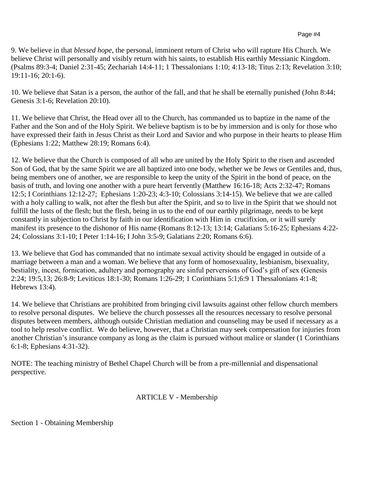9. We believe in that *blessed hope*, the personal, imminent return of Christ who will rapture His Church. We believe Christ will personally and visibly return with his saints, to establish His earthly Messianic Kingdom. (Psalms 89:3-4; Daniel 2:31-45; Zechariah 14:4-11; 1 Thessalonians 1:10; 4:13-18; Titus 2:13; Revelation 3:10; 19:11-16; 20:1-6).

10. We believe that Satan is a person, the author of the fall, and that he shall be eternally punished (John 8:44; Genesis 3:1-6; Revelation 20:10).

11. We believe that Christ, the Head over all to the Church, has commanded us to baptize in the name of the Father and the Son and of the Holy Spirit. We believe baptism is to be by immersion and is only for those who have expressed their faith in Jesus Christ as their Lord and Savior and who purpose in their hearts to please Him (Ephesians 1:22; Matthew 28:19; Romans 6:4).

12. We believe that the Church is composed of all who are united by the Holy Spirit to the risen and ascended Son of God, that by the same Spirit we are all baptized into one body, whether we be Jews or Gentiles and, thus, being members one of another, we are responsible to keep the unity of the Spirit in the bond of peace, on the basis of truth, and loving one another with a pure heart fervently (Matthew 16:16-18; Acts 2:32-47; Romans 12:5; I Corinthians 12:12-27; Ephesians 1:20-23; 4:3-10; Colossians 3:14-15). We believe that we are called with a holy calling to walk, not after the flesh but after the Spirit, and so to live in the Spirit that we should not fulfill the lusts of the flesh; but the flesh, being in us to the end of our earthly pilgrimage, needs to be kept constantly in subjection to Christ by faith in our identification with Him in crucifixion, or it will surely manifest its presence to the dishonor of His name (Romans 8:12-13; 13:14; Galatians 5:16-25; Ephesians 4:22- 24; Colossians 3:1-10; I Peter 1:14-16; I John 3:5-9; Galatians 2:20; Romans 6:6).

13. We believe that God has commanded that no intimate sexual activity should be engaged in outside of a marriage between a man and a woman. We believe that any form of homosexuality, lesbianism, bisexuality, bestiality, incest, fornication, adultery and pornography are sinful perversions of God's gift of sex (Genesis 2:24; 19:5,13; 26:8-9; Leviticus 18:1-30; Romans 1:26-29; 1 Corinthians 5:1;6:9 1 Thessalonians 4:1-8; Hebrews 13:4).

14. We believe that Christians are prohibited from bringing civil lawsuits against other fellow church members to resolve personal disputes. We believe the church possesses all the resources necessary to resolve personal disputes between members, although outside Christian mediation and counseling may be used if necessary as a tool to help resolve conflict. We do believe, however, that a Christian may seek compensation for injuries from another Christian's insurance company as long as the claim is pursued without malice or slander (1 Corinthians 6:1-8; Ephesians 4:31-32).

NOTE: The teaching ministry of Bethel Chapel Church will be from a pre-millennial and dispensational perspective.

### ARTICLE V - Membership

Section 1 - Obtaining Membership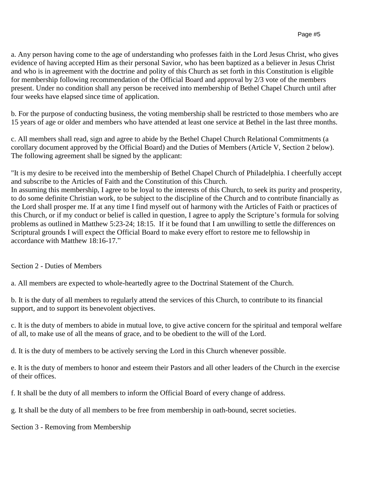a. Any person having come to the age of understanding who professes faith in the Lord Jesus Christ, who gives evidence of having accepted Him as their personal Savior, who has been baptized as a believer in Jesus Christ and who is in agreement with the doctrine and polity of this Church as set forth in this Constitution is eligible for membership following recommendation of the Official Board and approval by 2/3 vote of the members present. Under no condition shall any person be received into membership of Bethel Chapel Church until after four weeks have elapsed since time of application.

b. For the purpose of conducting business, the voting membership shall be restricted to those members who are 15 years of age or older and members who have attended at least one service at Bethel in the last three months.

c. All members shall read, sign and agree to abide by the Bethel Chapel Church Relational Commitments (a corollary document approved by the Official Board) and the Duties of Members (Article V, Section 2 below). The following agreement shall be signed by the applicant:

"It is my desire to be received into the membership of Bethel Chapel Church of Philadelphia. I cheerfully accept and subscribe to the Articles of Faith and the Constitution of this Church. In assuming this membership, I agree to be loyal to the interests of this Church, to seek its purity and prosperity, to do some definite Christian work, to be subject to the discipline of the Church and to contribute financially as the Lord shall prosper me. If at any time I find myself out of harmony with the Articles of Faith or practices of this Church, or if my conduct or belief is called in question, I agree to apply the Scripture's formula for solving problems as outlined in Matthew 5:23-24; 18:15. If it be found that I am unwilling to settle the differences on Scriptural grounds I will expect the Official Board to make every effort to restore me to fellowship in accordance with Matthew 18:16-17."

### Section 2 - Duties of Members

a. All members are expected to whole-heartedly agree to the Doctrinal Statement of the Church.

b. It is the duty of all members to regularly attend the services of this Church, to contribute to its financial support, and to support its benevolent objectives.

c. It is the duty of members to abide in mutual love, to give active concern for the spiritual and temporal welfare of all, to make use of all the means of grace, and to be obedient to the will of the Lord.

d. It is the duty of members to be actively serving the Lord in this Church whenever possible.

e. It is the duty of members to honor and esteem their Pastors and all other leaders of the Church in the exercise of their offices.

f. It shall be the duty of all members to inform the Official Board of every change of address.

g. It shall be the duty of all members to be free from membership in oath-bound, secret societies.

Section 3 - Removing from Membership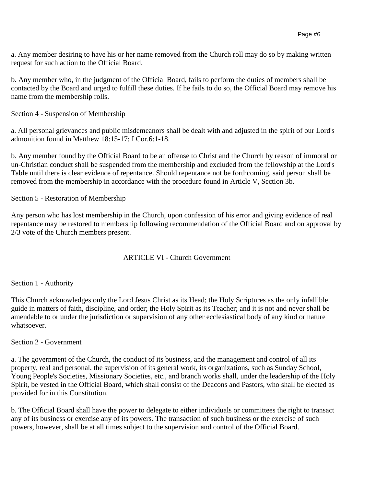a. Any member desiring to have his or her name removed from the Church roll may do so by making written request for such action to the Official Board.

b. Any member who, in the judgment of the Official Board, fails to perform the duties of members shall be contacted by the Board and urged to fulfill these duties. If he fails to do so, the Official Board may remove his name from the membership rolls.

Section 4 - Suspension of Membership

a. All personal grievances and public misdemeanors shall be dealt with and adjusted in the spirit of our Lord's admonition found in Matthew 18:15-17; I Cor.6:1-18.

b. Any member found by the Official Board to be an offense to Christ and the Church by reason of immoral or un-Christian conduct shall be suspended from the membership and excluded from the fellowship at the Lord's Table until there is clear evidence of repentance. Should repentance not be forthcoming, said person shall be removed from the membership in accordance with the procedure found in Article V, Section 3b.

Section 5 - Restoration of Membership

Any person who has lost membership in the Church, upon confession of his error and giving evidence of real repentance may be restored to membership following recommendation of the Official Board and on approval by 2/3 vote of the Church members present.

### ARTICLE VI - Church Government

#### Section 1 - Authority

This Church acknowledges only the Lord Jesus Christ as its Head; the Holy Scriptures as the only infallible guide in matters of faith, discipline, and order; the Holy Spirit as its Teacher; and it is not and never shall be amendable to or under the jurisdiction or supervision of any other ecclesiastical body of any kind or nature whatsoever.

#### Section 2 - Government

a. The government of the Church, the conduct of its business, and the management and control of all its property, real and personal, the supervision of its general work, its organizations, such as Sunday School, Young People's Societies, Missionary Societies, etc., and branch works shall, under the leadership of the Holy Spirit, be vested in the Official Board, which shall consist of the Deacons and Pastors, who shall be elected as provided for in this Constitution.

b. The Official Board shall have the power to delegate to either individuals or committees the right to transact any of its business or exercise any of its powers. The transaction of such business or the exercise of such powers, however, shall be at all times subject to the supervision and control of the Official Board.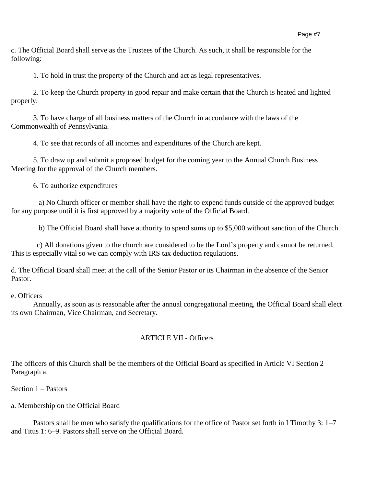c. The Official Board shall serve as the Trustees of the Church. As such, it shall be responsible for the following:

1. To hold in trust the property of the Church and act as legal representatives.

2. To keep the Church property in good repair and make certain that the Church is heated and lighted properly.

3. To have charge of all business matters of the Church in accordance with the laws of the Commonwealth of Pennsylvania.

4. To see that records of all incomes and expenditures of the Church are kept.

5. To draw up and submit a proposed budget for the coming year to the Annual Church Business Meeting for the approval of the Church members.

6. To authorize expenditures

 a) No Church officer or member shall have the right to expend funds outside of the approved budget for any purpose until it is first approved by a majority vote of the Official Board.

b) The Official Board shall have authority to spend sums up to \$5,000 without sanction of the Church.

c) All donations given to the church are considered to be the Lord's property and cannot be returned. This is especially vital so we can comply with IRS tax deduction regulations.

d. The Official Board shall meet at the call of the Senior Pastor or its Chairman in the absence of the Senior Pastor.

e. Officers

Annually, as soon as is reasonable after the annual congregational meeting, the Official Board shall elect its own Chairman, Vice Chairman, and Secretary.

### ARTICLE VII - Officers

The officers of this Church shall be the members of the Official Board as specified in Article VI Section 2 Paragraph a.

Section 1 – Pastors

a. Membership on the Official Board

Pastors shall be men who satisfy the qualifications for the office of Pastor set forth in I Timothy 3: 1–7 and Titus 1: 6–9. Pastors shall serve on the Official Board.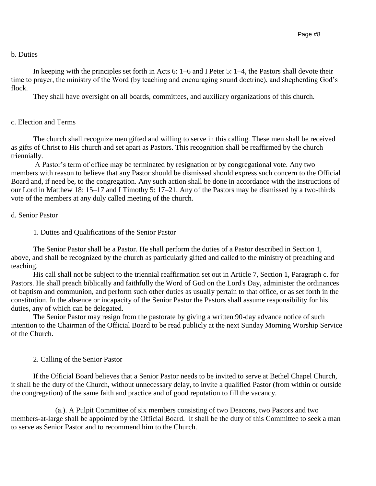#### b. Duties

In keeping with the principles set forth in Acts 6: 1–6 and I Peter 5: 1–4, the Pastors shall devote their time to prayer, the ministry of the Word (by teaching and encouraging sound doctrine), and shepherding God's flock.

They shall have oversight on all boards, committees, and auxiliary organizations of this church.

### c. Election and Terms

The church shall recognize men gifted and willing to serve in this calling. These men shall be received as gifts of Christ to His church and set apart as Pastors. This recognition shall be reaffirmed by the church triennially.

A Pastor's term of office may be terminated by resignation or by congregational vote. Any two members with reason to believe that any Pastor should be dismissed should express such concern to the Official Board and, if need be, to the congregation. Any such action shall be done in accordance with the instructions of our Lord in Matthew 18: 15–17 and I Timothy 5: 17–21. Any of the Pastors may be dismissed by a two-thirds vote of the members at any duly called meeting of the church.

#### d. Senior Pastor

1. Duties and Qualifications of the Senior Pastor

The Senior Pastor shall be a Pastor. He shall perform the duties of a Pastor described in Section 1, above, and shall be recognized by the church as particularly gifted and called to the ministry of preaching and teaching.

His call shall not be subject to the triennial reaffirmation set out in Article 7, Section 1, Paragraph c. for Pastors. He shall preach biblically and faithfully the Word of God on the Lord's Day, administer the ordinances of baptism and communion, and perform such other duties as usually pertain to that office, or as set forth in the constitution. In the absence or incapacity of the Senior Pastor the Pastors shall assume responsibility for his duties, any of which can be delegated.

The Senior Pastor may resign from the pastorate by giving a written 90-day advance notice of such intention to the Chairman of the Official Board to be read publicly at the next Sunday Morning Worship Service of the Church.

### 2. Calling of the Senior Pastor

If the Official Board believes that a Senior Pastor needs to be invited to serve at Bethel Chapel Church, it shall be the duty of the Church, without unnecessary delay, to invite a qualified Pastor (from within or outside the congregation) of the same faith and practice and of good reputation to fill the vacancy.

(a.). A Pulpit Committee of six members consisting of two Deacons, two Pastors and two members-at-large shall be appointed by the Official Board. It shall be the duty of this Committee to seek a man to serve as Senior Pastor and to recommend him to the Church.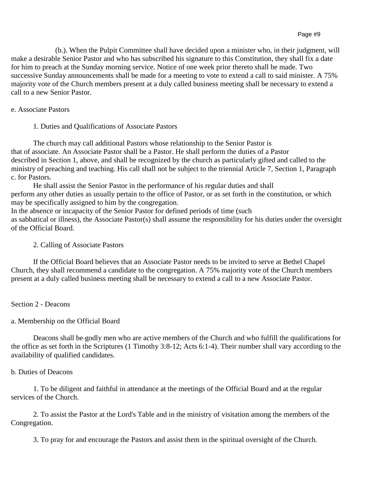(b.). When the Pulpit Committee shall have decided upon a minister who, in their judgment, will make a desirable Senior Pastor and who has subscribed his signature to this Constitution, they shall fix a date for him to preach at the Sunday morning service. Notice of one week prior thereto shall be made. Two successive Sunday announcements shall be made for a meeting to vote to extend a call to said minister. A 75% majority vote of the Church members present at a duly called business meeting shall be necessary to extend a call to a new Senior Pastor.

### e. Associate Pastors

1. Duties and Qualifications of Associate Pastors

The church may call additional Pastors whose relationship to the Senior Pastor is that of associate. An Associate Pastor shall be a Pastor. He shall perform the duties of a Pastor described in Section 1, above, and shall be recognized by the church as particularly gifted and called to the ministry of preaching and teaching. His call shall not be subject to the triennial Article 7, Section 1, Paragraph c. for Pastors.

He shall assist the Senior Pastor in the performance of his regular duties and shall perform any other duties as usually pertain to the office of Pastor, or as set forth in the constitution, or which may be specifically assigned to him by the congregation.

In the absence or incapacity of the Senior Pastor for defined periods of time (such as sabbatical or illness), the Associate Pastor(s) shall assume the responsibility for his duties under the oversight of the Official Board.

### 2. Calling of Associate Pastors

If the Official Board believes that an Associate Pastor needs to be invited to serve at Bethel Chapel Church, they shall recommend a candidate to the congregation. A 75% majority vote of the Church members present at a duly called business meeting shall be necessary to extend a call to a new Associate Pastor.

Section 2 - Deacons

### a. Membership on the Official Board

Deacons shall be godly men who are active members of the Church and who fulfill the qualifications for the office as set forth in the Scriptures (1 Timothy 3:8-12; Acts 6:1-4). Their number shall vary according to the availability of qualified candidates.

### b. Duties of Deacons

1. To be diligent and faithful in attendance at the meetings of the Official Board and at the regular services of the Church.

2. To assist the Pastor at the Lord's Table and in the ministry of visitation among the members of the Congregation.

3. To pray for and encourage the Pastors and assist them in the spiritual oversight of the Church.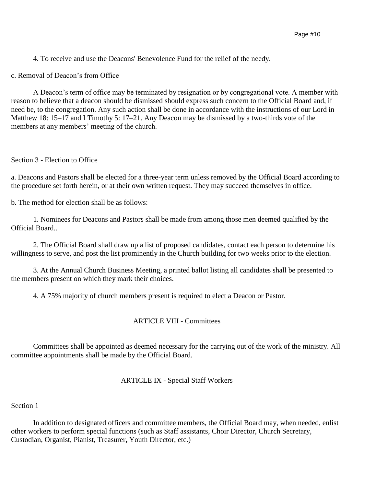4. To receive and use the Deacons' Benevolence Fund for the relief of the needy.

c. Removal of Deacon's from Office

A Deacon's term of office may be terminated by resignation or by congregational vote. A member with reason to believe that a deacon should be dismissed should express such concern to the Official Board and, if need be, to the congregation. Any such action shall be done in accordance with the instructions of our Lord in Matthew 18: 15–17 and I Timothy 5: 17–21. Any Deacon may be dismissed by a two-thirds vote of the members at any members' meeting of the church.

Section 3 - Election to Office

a. Deacons and Pastors shall be elected for a three-year term unless removed by the Official Board according to the procedure set forth herein, or at their own written request. They may succeed themselves in office.

b. The method for election shall be as follows:

1. Nominees for Deacons and Pastors shall be made from among those men deemed qualified by the Official Board..

2. The Official Board shall draw up a list of proposed candidates, contact each person to determine his willingness to serve, and post the list prominently in the Church building for two weeks prior to the election.

3. At the Annual Church Business Meeting, a printed ballot listing all candidates shall be presented to the members present on which they mark their choices.

4. A 75% majority of church members present is required to elect a Deacon or Pastor.

### ARTICLE VIII - Committees

Committees shall be appointed as deemed necessary for the carrying out of the work of the ministry. All committee appointments shall be made by the Official Board.

#### ARTICLE IX - Special Staff Workers

#### Section 1

In addition to designated officers and committee members, the Official Board may, when needed, enlist other workers to perform special functions (such as Staff assistants, Choir Director, Church Secretary, Custodian, Organist, Pianist, Treasurer**,** Youth Director, etc.)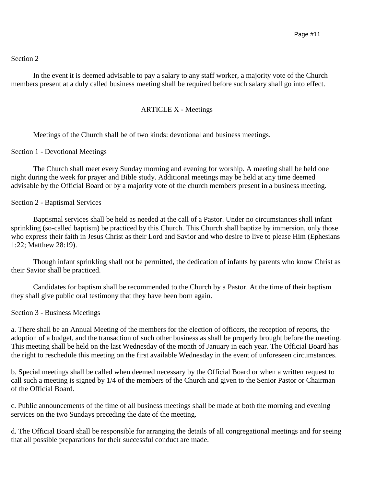## Section 2

In the event it is deemed advisable to pay a salary to any staff worker, a majority vote of the Church members present at a duly called business meeting shall be required before such salary shall go into effect.

### ARTICLE X - Meetings

Meetings of the Church shall be of two kinds: devotional and business meetings.

#### Section 1 - Devotional Meetings

The Church shall meet every Sunday morning and evening for worship. A meeting shall be held one night during the week for prayer and Bible study. Additional meetings may be held at any time deemed advisable by the Official Board or by a majority vote of the church members present in a business meeting.

#### Section 2 - Baptismal Services

Baptismal services shall be held as needed at the call of a Pastor. Under no circumstances shall infant sprinkling (so-called baptism) be practiced by this Church. This Church shall baptize by immersion, only those who express their faith in Jesus Christ as their Lord and Savior and who desire to live to please Him (Ephesians 1:22; Matthew 28:19).

Though infant sprinkling shall not be permitted, the dedication of infants by parents who know Christ as their Savior shall be practiced.

Candidates for baptism shall be recommended to the Church by a Pastor. At the time of their baptism they shall give public oral testimony that they have been born again.

#### Section 3 - Business Meetings

a. There shall be an Annual Meeting of the members for the election of officers, the reception of reports, the adoption of a budget, and the transaction of such other business as shall be properly brought before the meeting. This meeting shall be held on the last Wednesday of the month of January in each year. The Official Board has the right to reschedule this meeting on the first available Wednesday in the event of unforeseen circumstances.

b. Special meetings shall be called when deemed necessary by the Official Board or when a written request to call such a meeting is signed by 1/4 of the members of the Church and given to the Senior Pastor or Chairman of the Official Board.

c. Public announcements of the time of all business meetings shall be made at both the morning and evening services on the two Sundays preceding the date of the meeting.

d. The Official Board shall be responsible for arranging the details of all congregational meetings and for seeing that all possible preparations for their successful conduct are made.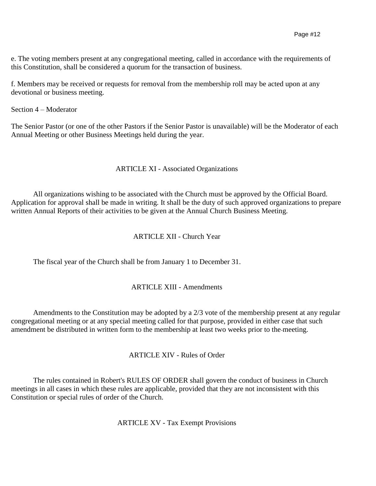e. The voting members present at any congregational meeting, called in accordance with the requirements of this Constitution, shall be considered a quorum for the transaction of business.

f. Members may be received or requests for removal from the membership roll may be acted upon at any devotional or business meeting.

Section 4 – Moderator

The Senior Pastor (or one of the other Pastors if the Senior Pastor is unavailable) will be the Moderator of each Annual Meeting or other Business Meetings held during the year.

### ARTICLE XI - Associated Organizations

All organizations wishing to be associated with the Church must be approved by the Official Board. Application for approval shall be made in writing. It shall be the duty of such approved organizations to prepare written Annual Reports of their activities to be given at the Annual Church Business Meeting.

## ARTICLE XII - Church Year

The fiscal year of the Church shall be from January 1 to December 31.

### ARTICLE XIII - Amendments

Amendments to the Constitution may be adopted by a 2/3 vote of the membership present at any regular congregational meeting or at any special meeting called for that purpose, provided in either case that such amendment be distributed in written form to the membership at least two weeks prior to the meeting.

### ARTICLE XIV - Rules of Order

The rules contained in Robert's RULES OF ORDER shall govern the conduct of business in Church meetings in all cases in which these rules are applicable, provided that they are not inconsistent with this Constitution or special rules of order of the Church.

ARTICLE XV - Tax Exempt Provisions